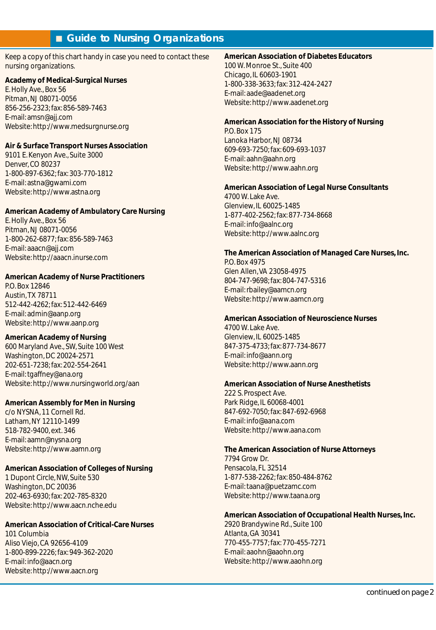# ■ Guide to Nursing Organizations

Keep a copy of this chart handy in case you need to contact these nursing organizations.

## **Academy of Medical-Surgical Nurses**

E. Holly Ave., Box 56 Pitman, NJ 08071-0056 856-256-2323; fax: 856-589-7463 E-mail: amsn@ajj.com Website: http://www.medsurgnurse.org

## **Air & Surface Transport Nurses Association**

9101 E. Kenyon Ave., Suite 3000 Denver, CO 80237 1-800-897-6362; fax: 303-770-1812 E-mail: astna@gwami.com Website: http://www.astna.org

## **American Academy of Ambulatory Care Nursing**

E. Holly Ave., Box 56 Pitman, NJ 08071-0056 1-800-262-6877; fax: 856-589-7463 E-mail: aaacn@ajj.com Website: http://aaacn.inurse.com

## **American Academy of Nurse Practitioners**

P.O. Box 12846 Austin,TX 78711 512-442-4262; fax: 512-442-6469 E-mail: admin@aanp.org Website: http://www.aanp.org

## **American Academy of Nursing**

600 Maryland Ave., SW, Suite 100 West Washington, DC 20024-2571 202-651-7238; fax: 202-554-2641 E-mail: tgaffney@ana.org Website: http://www.nursingworld.org/aan

## **American Assembly for Men in Nursing**

c/o NYSNA, 11 Cornell Rd. Latham, NY 12110-1499 518-782-9400, ext. 346 E-mail: aamn@nysna.org Website: http://www.aamn.org

## **American Association of Colleges of Nursing**

1 Dupont Circle, NW, Suite 530 Washington, DC 20036 202-463-6930; fax: 202-785-8320 Website: http://www.aacn.nche.edu

## **American Association of Critical-Care Nurses**

101 Columbia Aliso Viejo, CA 92656-4109 1-800-899-2226; fax: 949-362-2020 E-mail: info@aacn.org Website: http://www.aacn.org

## **American Association of Diabetes Educators**

100 W. Monroe St., Suite 400 Chicago, IL 60603-1901 1-800-338-3633; fax: 312-424-2427 E-mail: aade@aadenet.org Website: http://www.aadenet.org

## **American Association for the History of Nursing**

P.O. Box 175 Lanoka Harbor, NJ 08734 609-693-7250; fax: 609-693-1037 E-mail: aahn@aahn.org Website: http://www.aahn.org

## **American Association of Legal Nurse Consultants**

4700 W. Lake Ave. Glenview, IL 60025-1485 1-877-402-2562; fax: 877-734-8668 E-mail: info@aalnc.org Website: http://www.aalnc.org

## **The American Association of Managed Care Nurses, Inc.**

P.O. Box 4975 Glen Allen, VA 23058-4975 804-747-9698; fax: 804-747-5316 E-mail: rbailey@aamcn.org Website: http://www.aamcn.org

## **American Association of Neuroscience Nurses**

4700 W. Lake Ave. Glenview, IL 60025-1485 847-375-4733; fax: 877-734-8677 E-mail: info@aann.org Website: http://www.aann.org

## **American Association of Nurse Anesthetists**

222 S. Prospect Ave. Park Ridge, IL 60068-4001 847-692-7050; fax: 847-692-6968 E-mail: info@aana.com Website: http://www.aana.com

## **The American Association of Nurse Attorneys**

7794 Grow Dr. Pensacola, FL 32514 1-877-538-2262; fax: 850-484-8762 E-mail: taana@puetzamc.com Website: http://www.taana.org

## **American Association of Occupational Health Nurses, Inc.**

2920 Brandywine Rd., Suite 100 Atlanta, GA 30341 770-455-7757; fax: 770-455-7271 E-mail: aaohn@aaohn.org Website: http://www.aaohn.org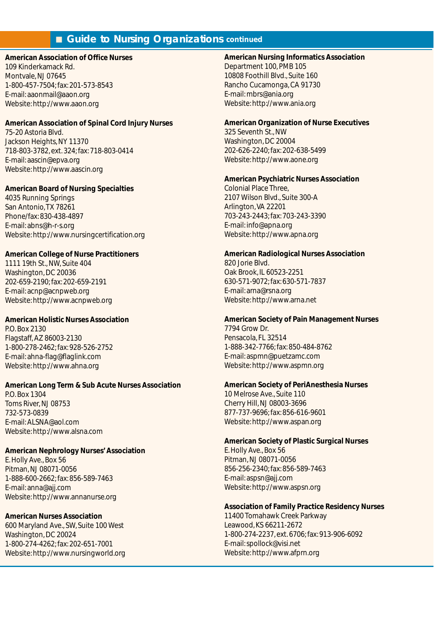## **American Association of Office Nurses**

109 Kinderkamack Rd. Montvale, NJ 07645 1-800-457-7504; fax: 201-573-8543 E-mail: aaonmail@aaon.org Website: http://www.aaon.org

## **American Association of Spinal Cord Injury Nurses**

75-20 Astoria Blvd. Jackson Heights, NY 11370 718-803-3782, ext. 324; fax: 718-803-0414 E-mail: aascin@epva.org Website: http://www.aascin.org

## **American Board of Nursing Specialties**

4035 Running Springs San Antonio,TX 78261 Phone/fax: 830-438-4897 E-mail: abns@h-r-s.org Website: http://www.nursingcertification.org

### **American College of Nurse Practitioners**

1111 19th St., NW, Suite 404 Washington, DC 20036 202-659-2190; fax: 202-659-2191 E-mail: acnp@acnpweb.org Website: http://www.acnpweb.org

## **American Holistic Nurses Association**

P.O. Box 2130 Flagstaff, AZ 86003-2130 1-800-278-2462; fax: 928-526-2752 E-mail: ahna-flag@flaglink.com Website: http://www.ahna.org

#### **American Long Term & Sub Acute Nurses Association**

P.O. Box 1304 Toms River, NJ 08753 732-573-0839 E-mail: ALSNA@aol.com Website: http://www.alsna.com

### **American Nephrology Nurses' Association**

E. Holly Ave., Box 56 Pitman, NJ 08071-0056 1-888-600-2662; fax: 856-589-7463 E-mail: anna@ajj.com Website: http://www.annanurse.org

### **American Nurses Association**

600 Maryland Ave., SW, Suite 100 West Washington, DC 20024 1-800-274-4262; fax: 202-651-7001 Website: http://www.nursingworld.org

#### **American Nursing Informatics Association**

Department 100, PMB 105 10808 Foothill Blvd., Suite 160 Rancho Cucamonga, CA 91730 E-mail: mbrs@ania.org Website: http://www.ania.org

#### **American Organization of Nurse Executives**

325 Seventh St., NW Washington, DC 20004 202-626-2240; fax: 202-638-5499 Website: http://www.aone.org

#### **American Psychiatric Nurses Association**

Colonial Place Three, 2107 Wilson Blvd., Suite 300-A Arlington, VA 22201 703-243-2443; fax: 703-243-3390 E-mail: info@apna.org Website: http://www.apna.org

#### **American Radiological Nurses Association**

820 Jorie Blvd. Oak Brook, IL 60523-2251 630-571-9072; fax: 630-571-7837 E-mail: arna@rsna.org Website: http://www.arna.net

### **American Society of Pain Management Nurses**

7794 Grow Dr. Pensacola, FL 32514 1-888-342-7766; fax: 850-484-8762 E-mail: aspmn@puetzamc.com Website: http://www.aspmn.org

#### **American Society of PeriAnesthesia Nurses**

10 Melrose Ave., Suite 110 Cherry Hill, NJ 08003-3696 877-737-9696; fax: 856-616-9601 Website: http://www.aspan.org

#### **American Society of Plastic Surgical Nurses**

E. Holly Ave., Box 56 Pitman, NJ 08071-0056 856-256-2340; fax: 856-589-7463 E-mail: aspsn@ajj.com Website: http://www.aspsn.org

#### **Association of Family Practice Residency Nurses**

11400 Tomahawk Creek Parkway Leawood, KS 66211-2672 1-800-274-2237, ext. 6706; fax: 913-906-6092 E-mail: spollock@visi.net Website: http://www.afprn.org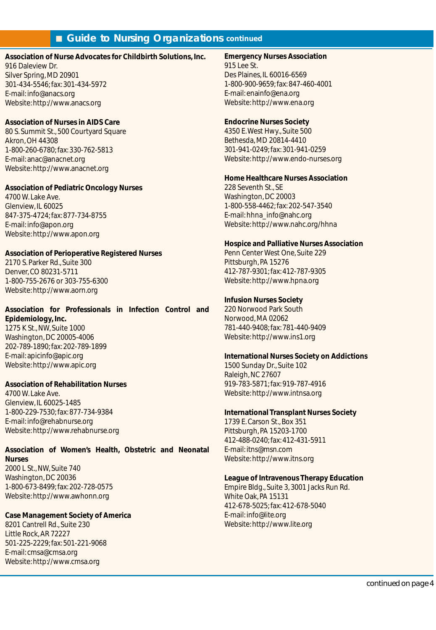## **Association of Nurse Advocates for Childbirth Solutions, Inc.**

916 Daleview Dr. Silver Spring, MD 20901 301-434-5546; fax: 301-434-5972 E-mail: info@anacs.org Website: http://www.anacs.org

## **Association of Nurses in AIDS Care**

80 S. Summit St., 500 Courtyard Square Akron, OH 44308 1-800-260-6780; fax: 330-762-5813 E-mail: anac@anacnet.org Website: http://www.anacnet.org

#### **Association of Pediatric Oncology Nurses**

4700 W. Lake Ave. Glenview, IL 60025 847-375-4724; fax: 877-734-8755 E-mail: info@apon.org Website: http://www.apon.org

## **Association of Perioperative Registered Nurses**

2170 S. Parker Rd., Suite 300 Denver, CO 80231-5711 1-800-755-2676 or 303-755-6300 Website: http://www.aorn.org

## **Association for Professionals in Infection Control and Epidemiology, Inc.** 1275 K St., NW, Suite 1000

Washington, DC 20005-4006 202-789-1890; fax: 202-789-1899 E-mail: apicinfo@apic.org Website: http://www.apic.org

## **Association of Rehabilitation Nurses**

4700 W. Lake Ave. Glenview, IL 60025-1485 1-800-229-7530; fax: 877-734-9384 E-mail: info@rehabnurse.org Website: http://www.rehabnurse.org

# **Association of Women's Health, Obstetric and Neonatal**

**Nurses** 2000 L St., NW, Suite 740 Washington, DC 20036 1-800-673-8499; fax: 202-728-0575 Website: http://www.awhonn.org

## **Case Management Society of America**

8201 Cantrell Rd., Suite 230 Little Rock, AR 72227 501-225-2229; fax: 501-221-9068 E-mail: cmsa@cmsa.org Website: http://www.cmsa.org

#### **Emergency Nurses Association** 915 Lee St.

Des Plaines, IL 60016-6569 1-800-900-9659; fax: 847-460-4001 E-mail: enainfo@ena.org Website: http://www.ena.org

## **Endocrine Nurses Society**

4350 E.West Hwy., Suite 500 Bethesda, MD 20814-4410 301-941-0249; fax: 301-941-0259 Website: http://www.endo-nurses.org

## **Home Healthcare Nurses Association**

228 Seventh St., SE Washington, DC 20003 1-800-558-4462; fax: 202-547-3540 E-mail: hhna\_info@nahc.org Website: http://www.nahc.org/hhna

## **Hospice and Palliative Nurses Association**

Penn Center West One, Suite 229 Pittsburgh, PA 15276 412-787-9301; fax: 412-787-9305 Website: http://www.hpna.org

## **Infusion Nurses Society**

220 Norwood Park South Norwood, MA 02062 781-440-9408; fax: 781-440-9409 Website: http://www.ins1.org

## **International Nurses Society on Addictions**

1500 Sunday Dr., Suite 102 Raleigh, NC 27607 919-783-5871; fax: 919-787-4916 Website: http://www.intnsa.org

#### **International Transplant Nurses Society**

1739 E. Carson St., Box 351 Pittsburgh, PA 15203-1700 412-488-0240; fax: 412-431-5911 E-mail: itns@msn.com Website: http://www.itns.org

### **League of Intravenous Therapy Education**

Empire Bldg., Suite 3, 3001 Jacks Run Rd. White Oak, PA 15131 412-678-5025; fax: 412-678-5040 E-mail: info@lite.org Website: http://www.lite.org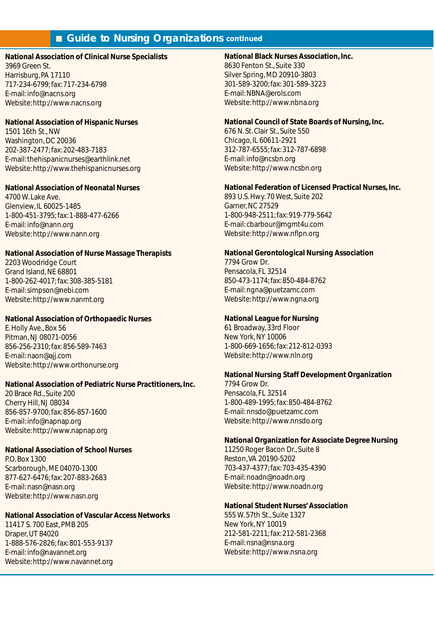#### **National Association of Clinical Nurse Specialists**

3969 Green St. Harrisburg, PA 17110 717-234-6799; fax: 717-234-6798 E-mail: info@nacns.org Website: http://www.nacns.org

#### **National Association of Hispanic Nurses**

1501 16th St., NW Washington, DC 20036 202-387-2477; fax: 202-483-7183 E-mail: thehispanicnurses@earthlink.net Website: http://www.thehispanicnurses.org

## **National Association of Neonatal Nurses**

4700 W. Lake Ave. Glenview, IL 60025-1485 1-800-451-3795; fax: 1-888-477-6266 E-mail: info@nann.org Website: http://www.nann.org

## **National Association of Nurse Massage Therapists**

2203 Woodridge Court Grand Island, NE 68801 1-800-262-4017; fax: 308-385-5181 E-mail: simpson@nebi.com Website: http://www.nanmt.org

## **National Association of Orthopaedic Nurses**

E. Holly Ave., Box 56 Pitman, NJ 08071-0056 856-256-2310; fax: 856-589-7463 E-mail: naon@ajj.com Website: http://www.orthonurse.org

## **National Association of Pediatric Nurse Practitioners, Inc.**

20 Brace Rd., Suite 200 Cherry Hill, NJ 08034 856-857-9700; fax: 856-857-1600 E-mail: info@napnap.org Website: http://www.napnap.org

## **National Association of School Nurses**

P.O. Box 1300 Scarborough, ME 04070-1300 877-627-6476; fax: 207-883-2683 E-mail: nasn@nasn.org Website: http://www.nasn.org

## **National Association of Vascular Access Networks**

11417 S. 700 East, PMB 205 Draper, UT 84020 1-888-576-2826; fax: 801-553-9137 E-mail: info@navannet.org Website: http://www.navannet.org

## **National Black Nurses Association, Inc.**

8630 Fenton St., Suite 330 Silver Spring, MD 20910-3803 301-589-3200; fax: 301-589-3223 E-mail: NBNA@erols.com Website: http://www.nbna.org

## **National Council of State Boards of Nursing, Inc.**

676 N. St. Clair St., Suite 550 Chicago, IL 60611-2921 312-787-6555; fax: 312-787-6898 E-mail: info@ncsbn.org Website: http://www.ncsbn.org

## **National Federation of Licensed Practical Nurses, Inc.**

893 U.S. Hwy. 70 West, Suite 202 Garner, NC 27529 1-800-948-2511; fax: 919-779-5642 E-mail: cbarbour@mgmt4u.com Website: http://www.nflpn.org

## **National Gerontological Nursing Association**

7794 Grow Dr. Pensacola, FL 32514 850-473-1174; fax: 850-484-8762 E-mail: ngna@puetzamc.com Website: http://www.ngna.org

## **National League for Nursing**

61 Broadway, 33rd Floor New York, NY 10006 1-800-669-1656; fax: 212-812-0393 Website: http://www.nln.org

## **National Nursing Staff Development Organization**

7794 Grow Dr. Pensacola, FL 32514 1-800-489-1995; fax: 850-484-8762 E-mail: nnsdo@puetzamc.com Website: http://www.nnsdo.org

## **National Organization for Associate Degree Nursing**

11250 Roger Bacon Dr., Suite 8 Reston, VA 20190-5202 703-437-4377; fax: 703-435-4390 E-mail: noadn@noadn.org Website: http://www.noadn.org

## **National Student Nurses' Association**

555 W. 57th St., Suite 1327 New York, NY 10019 212-581-2211; fax: 212-581-2368 E-mail: nsna@nsna.org Website: http://www.nsna.org